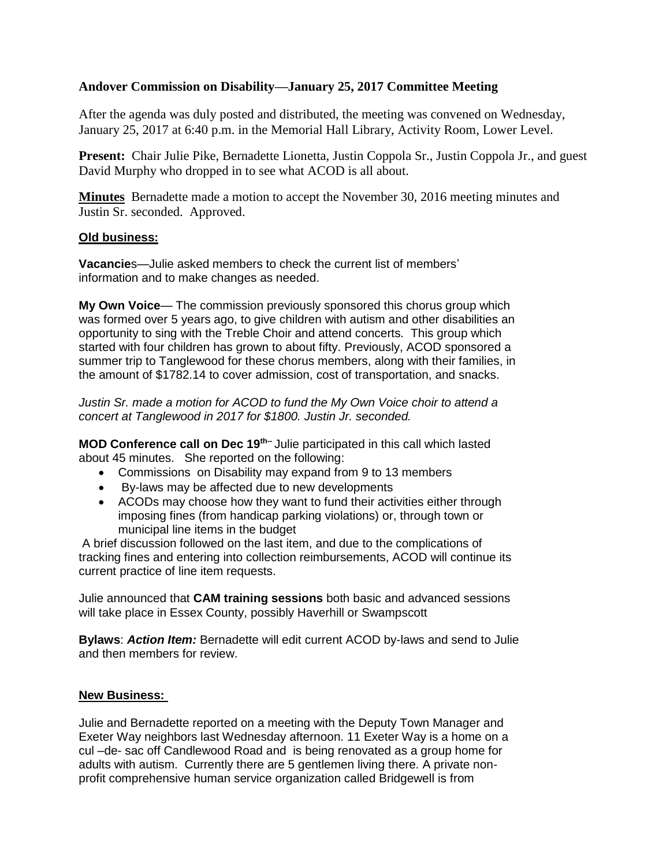## **Andover Commission on Disability—January 25, 2017 Committee Meeting**

After the agenda was duly posted and distributed, the meeting was convened on Wednesday, January 25, 2017 at 6:40 p.m. in the Memorial Hall Library, Activity Room, Lower Level.

Present: Chair Julie Pike, Bernadette Lionetta, Justin Coppola Sr., Justin Coppola Jr., and guest David Murphy who dropped in to see what ACOD is all about.

**Minutes** Bernadette made a motion to accept the November 30, 2016 meeting minutes and Justin Sr. seconded. Approved.

## **Old business:**

**Vacancie**s—Julie asked members to check the current list of members' information and to make changes as needed.

**My Own Voice**— The commission previously sponsored this chorus group which was formed over 5 years ago, to give children with autism and other disabilities an opportunity to sing with the Treble Choir and attend concerts. This group which started with four children has grown to about fifty. Previously, ACOD sponsored a summer trip to Tanglewood for these chorus members, along with their families, in the amount of \$1782.14 to cover admission, cost of transportation, and snacks.

*Justin Sr. made a motion for ACOD to fund the My Own Voice choir to attend a concert at Tanglewood in 2017 for \$1800. Justin Jr. seconded.*

**MOD Conference call on Dec 19th--** Julie participated in this call which lasted about 45 minutes. She reported on the following:

- Commissions on Disability may expand from 9 to 13 members
- By-laws may be affected due to new developments
- ACODs may choose how they want to fund their activities either through imposing fines (from handicap parking violations) or, through town or municipal line items in the budget

A brief discussion followed on the last item, and due to the complications of tracking fines and entering into collection reimbursements, ACOD will continue its current practice of line item requests.

Julie announced that **CAM training sessions** both basic and advanced sessions will take place in Essex County, possibly Haverhill or Swampscott

**Bylaws**: *Action Item:* Bernadette will edit current ACOD by-laws and send to Julie and then members for review.

## **New Business:**

Julie and Bernadette reported on a meeting with the Deputy Town Manager and Exeter Way neighbors last Wednesday afternoon. 11 Exeter Way is a home on a cul –de- sac off Candlewood Road and is being renovated as a group home for adults with autism. Currently there are 5 gentlemen living there. A private nonprofit comprehensive human service organization called Bridgewell is from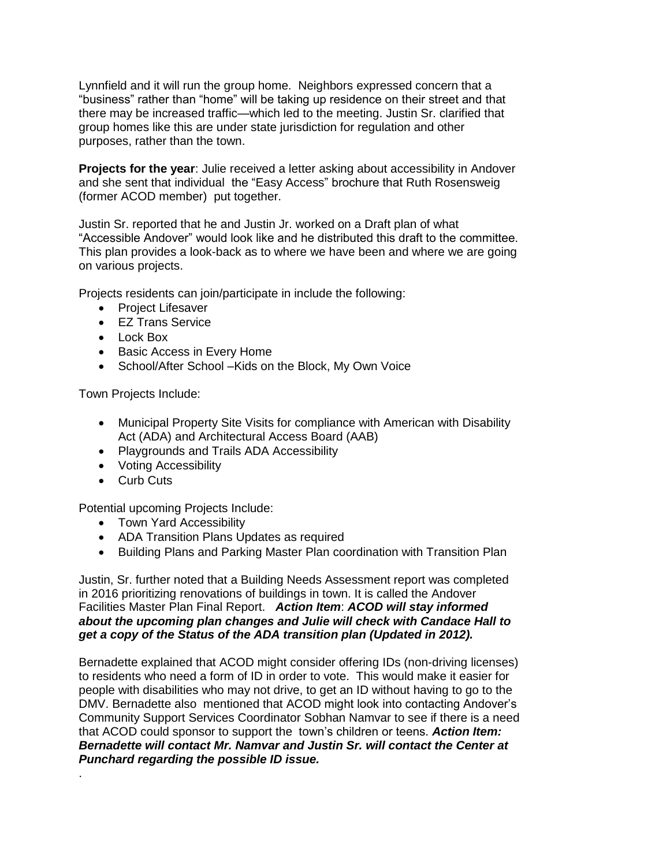Lynnfield and it will run the group home. Neighbors expressed concern that a "business" rather than "home" will be taking up residence on their street and that there may be increased traffic—which led to the meeting. Justin Sr. clarified that group homes like this are under state jurisdiction for regulation and other purposes, rather than the town.

**Projects for the year**: Julie received a letter asking about accessibility in Andover and she sent that individual the "Easy Access" brochure that Ruth Rosensweig (former ACOD member) put together.

Justin Sr. reported that he and Justin Jr. worked on a Draft plan of what "Accessible Andover" would look like and he distributed this draft to the committee. This plan provides a look-back as to where we have been and where we are going on various projects.

Projects residents can join/participate in include the following:

- Project Lifesaver
- EZ Trans Service
- Lock Box
- Basic Access in Every Home
- School/After School Kids on the Block, My Own Voice

Town Projects Include:

- Municipal Property Site Visits for compliance with American with Disability Act (ADA) and Architectural Access Board (AAB)
- Playgrounds and Trails ADA Accessibility
- Voting Accessibility
- Curb Cuts

.

Potential upcoming Projects Include:

- Town Yard Accessibility
- ADA Transition Plans Updates as required
- Building Plans and Parking Master Plan coordination with Transition Plan

Justin, Sr. further noted that a Building Needs Assessment report was completed in 2016 prioritizing renovations of buildings in town. It is called the Andover Facilities Master Plan Final Report. *Action Item*: *ACOD will stay informed about the upcoming plan changes and Julie will check with Candace Hall to get a copy of the Status of the ADA transition plan (Updated in 2012).*

Bernadette explained that ACOD might consider offering IDs (non-driving licenses) to residents who need a form of ID in order to vote. This would make it easier for people with disabilities who may not drive, to get an ID without having to go to the DMV. Bernadette also mentioned that ACOD might look into contacting Andover's Community Support Services Coordinator Sobhan Namvar to see if there is a need that ACOD could sponsor to support the town's children or teens. *Action Item: Bernadette will contact Mr. Namvar and Justin Sr. will contact the Center at Punchard regarding the possible ID issue.*